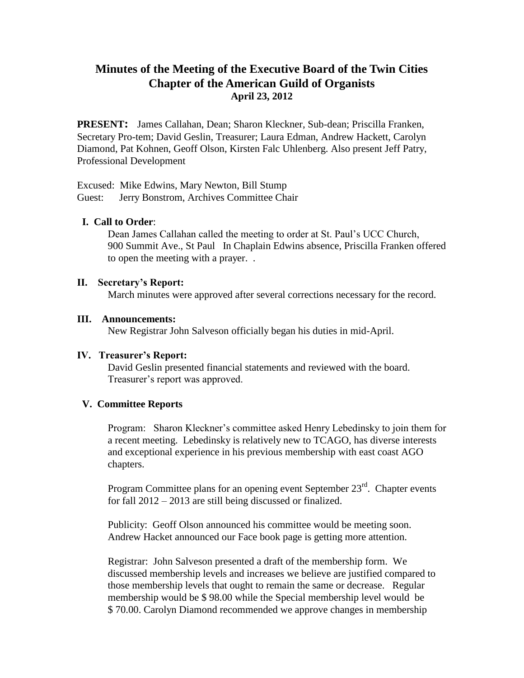# **Minutes of the Meeting of the Executive Board of the Twin Cities Chapter of the American Guild of Organists April 23, 2012**

**PRESENT:** James Callahan, Dean; Sharon Kleckner, Sub-dean; Priscilla Franken, Secretary Pro-tem; David Geslin, Treasurer; Laura Edman, Andrew Hackett, Carolyn Diamond, Pat Kohnen, Geoff Olson, Kirsten Falc Uhlenberg. Also present Jeff Patry, Professional Development

Excused: Mike Edwins, Mary Newton, Bill Stump Guest: Jerry Bonstrom, Archives Committee Chair

## **I. Call to Order**:

Dean James Callahan called the meeting to order at St. Paul's UCC Church, 900 Summit Ave., St Paul In Chaplain Edwins absence, Priscilla Franken offered to open the meeting with a prayer. .

### **II. Secretary's Report:**

March minutes were approved after several corrections necessary for the record.

#### **III. Announcements:**

New Registrar John Salveson officially began his duties in mid-April.

### **IV. Treasurer's Report:**

David Geslin presented financial statements and reviewed with the board. Treasurer's report was approved.

### **V. Committee Reports**

Program: Sharon Kleckner's committee asked Henry Lebedinsky to join them for a recent meeting. Lebedinsky is relatively new to TCAGO, has diverse interests and exceptional experience in his previous membership with east coast AGO chapters.

Program Committee plans for an opening event September  $23<sup>rd</sup>$ . Chapter events for fall 2012 – 2013 are still being discussed or finalized.

Publicity: Geoff Olson announced his committee would be meeting soon. Andrew Hacket announced our Face book page is getting more attention.

Registrar: John Salveson presented a draft of the membership form. We discussed membership levels and increases we believe are justified compared to those membership levels that ought to remain the same or decrease. Regular membership would be \$ 98.00 while the Special membership level would be \$ 70.00. Carolyn Diamond recommended we approve changes in membership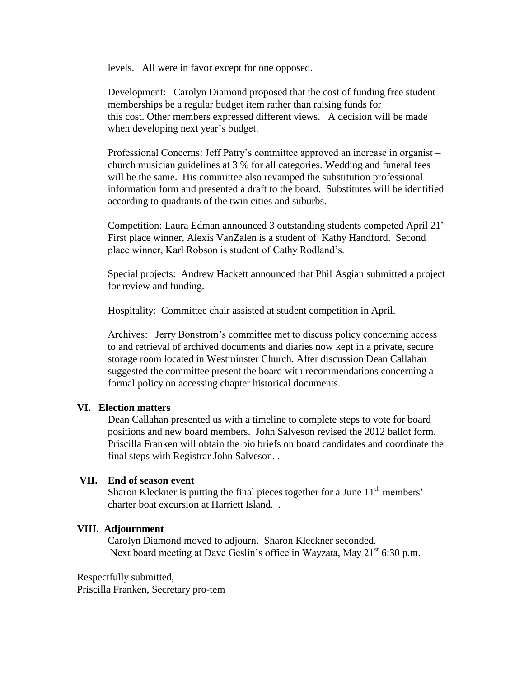levels. All were in favor except for one opposed.

Development: Carolyn Diamond proposed that the cost of funding free student memberships be a regular budget item rather than raising funds for this cost. Other members expressed different views. A decision will be made when developing next year's budget.

Professional Concerns: Jeff Patry's committee approved an increase in organist – church musician guidelines at 3 % for all categories. Wedding and funeral fees will be the same. His committee also revamped the substitution professional information form and presented a draft to the board. Substitutes will be identified according to quadrants of the twin cities and suburbs.

Competition: Laura Edman announced 3 outstanding students competed April  $21^{st}$ First place winner, Alexis VanZalen is a student of Kathy Handford. Second place winner, Karl Robson is student of Cathy Rodland's.

Special projects: Andrew Hackett announced that Phil Asgian submitted a project for review and funding.

Hospitality: Committee chair assisted at student competition in April.

Archives: Jerry Bonstrom's committee met to discuss policy concerning access to and retrieval of archived documents and diaries now kept in a private, secure storage room located in Westminster Church. After discussion Dean Callahan suggested the committee present the board with recommendations concerning a formal policy on accessing chapter historical documents.

### **VI. Election matters**

Dean Callahan presented us with a timeline to complete steps to vote for board positions and new board members. John Salveson revised the 2012 ballot form. Priscilla Franken will obtain the bio briefs on board candidates and coordinate the final steps with Registrar John Salveson. .

### **VII. End of season event**

Sharon Kleckner is putting the final pieces together for a June 11<sup>th</sup> members' charter boat excursion at Harriett Island. .

### **VIII. Adjournment**

Carolyn Diamond moved to adjourn. Sharon Kleckner seconded. Next board meeting at Dave Geslin's office in Wayzata, May 21<sup>st</sup> 6:30 p.m.

Respectfully submitted, Priscilla Franken, Secretary pro-tem